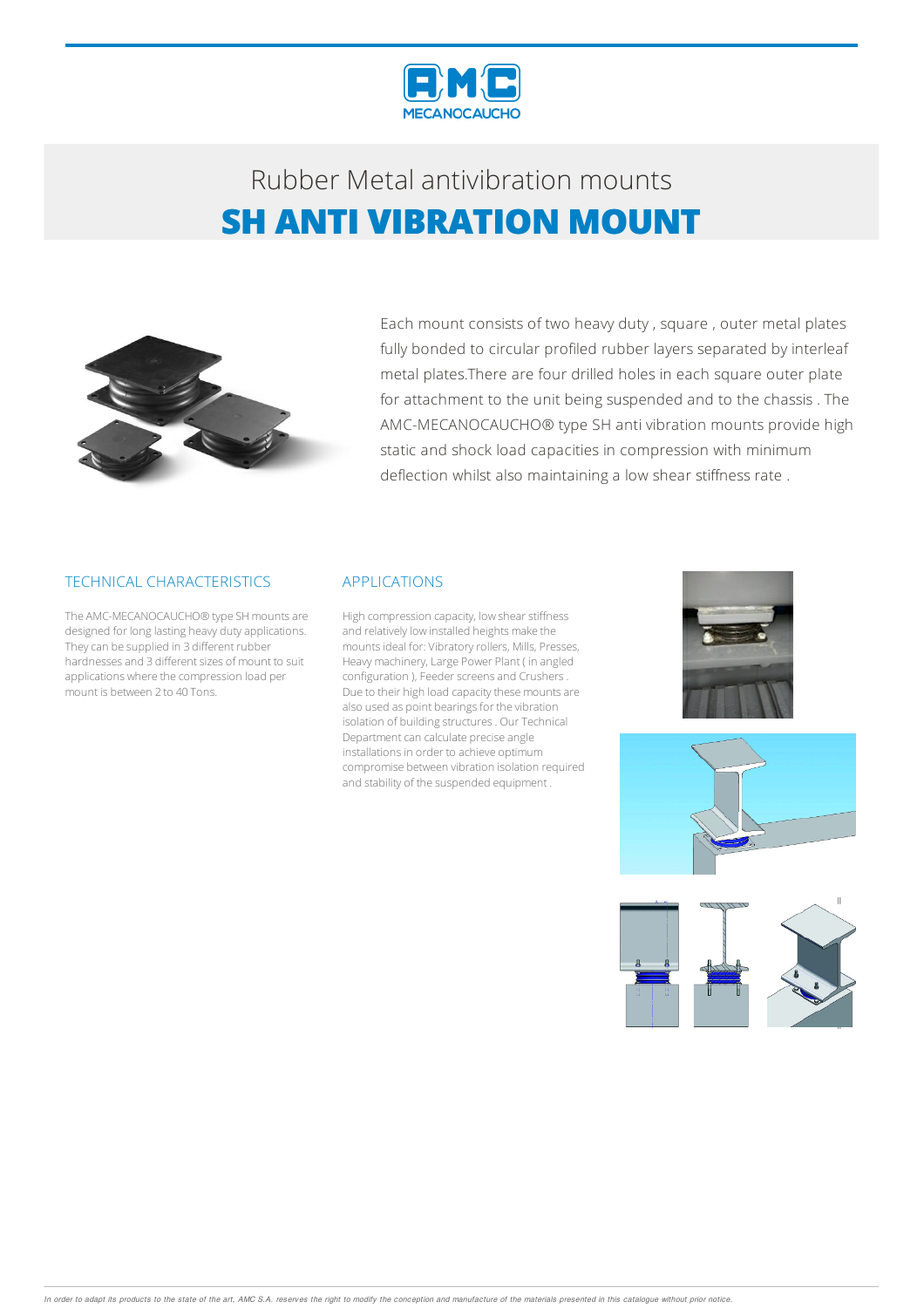

## Rubber Metalantivibration mounts **SH ANTI VIBRATION MOUNT**



Each mount consists of two heavy duty , square , outer metal plates fully bonded to circular profiled rubber layers separated by interleaf metal plates.There are four drilled holes in each square outer plate for attachment to the unit being suspended and to the chassis . The AMC-MECANOCAUCHO® type SH anti vibration mounts provide high static and shock load capacities in compression with minimum deflection whilst also maintaining a low shear stiffness rate .

### TECHNICAL CHARACTERISTICS

The AMC-MECANOCAUCHO® type SH mounts are designed for long lasting heavy duty applications. They can be supplied in 3 different rubber hardnesses and 3 different sizes of mount to suit applications where the compression load per mount is between 2 to 40 Tons.

#### APPLICATIONS

High compression capacity, low shear stiffness and relatively low installed heights make the mounts ideal for: Vibratory rollers, Mills, Presses, Heavy machinery, Large Power Plant ( in angled configuration ), Feeder screens and Crushers. Due to their high load capacity these mounts are also used as point bearings for the vibration isolation of building structures. Our Technical Department can calculate precise angle installations in order to achieve optimum compromise between vibration isolation required and stability of the suspended equipment .





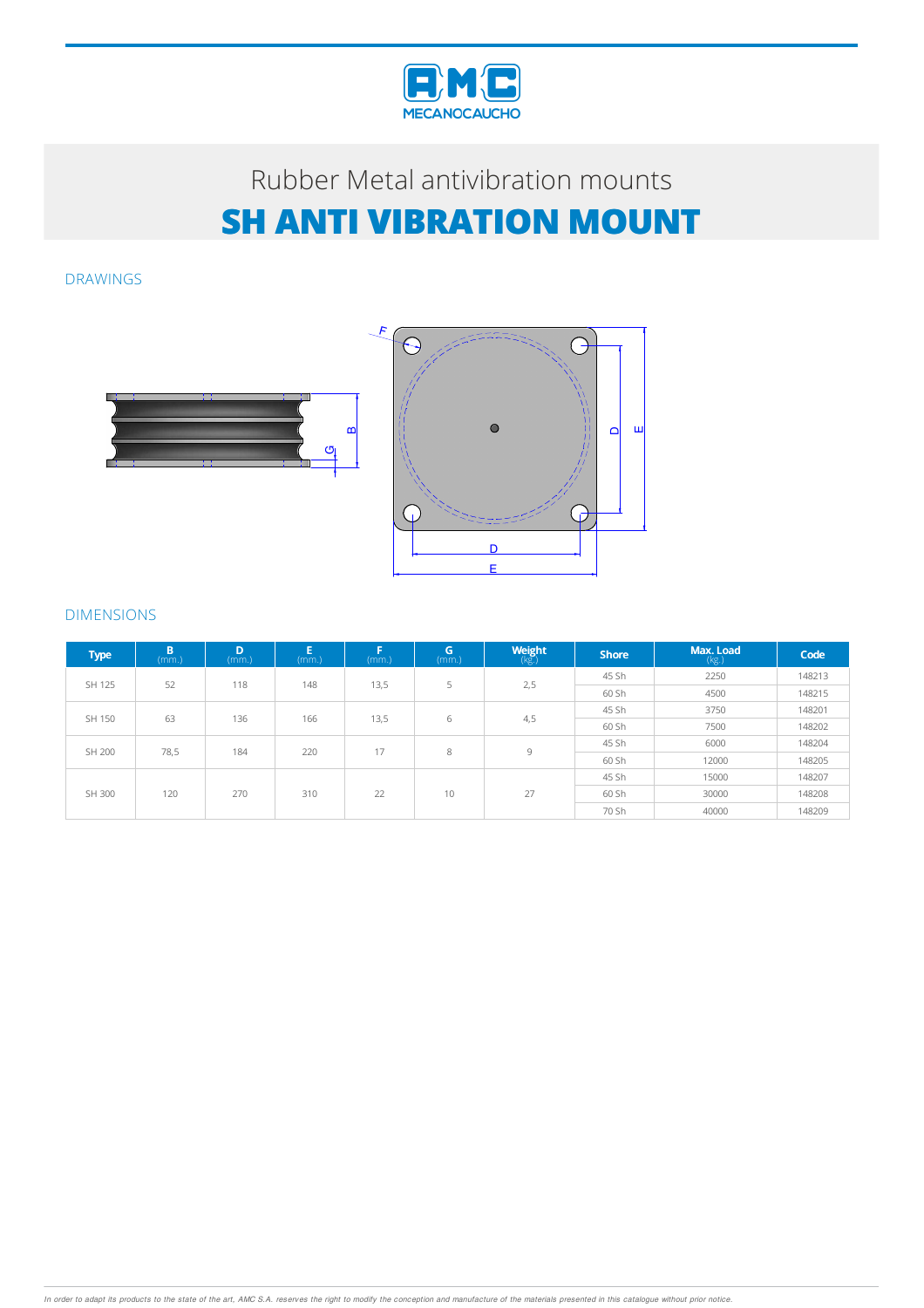

# Rubber Metalantivibration mounts **SH ANTI VIBRATION MOUNT**

മ

G

DRAWINGS



## DIMENSIONS

| <b>Type</b> | B<br>(mm.) | D<br>(mm.) | E<br>(mm.) | Е<br>(mm.) | G<br>(mm.) | <b>Weight</b> | <b>Shore</b> | Max. Load<br>(kg.) | Code   |
|-------------|------------|------------|------------|------------|------------|---------------|--------------|--------------------|--------|
| SH 125      | 52         | 118        | 148        | 13,5       | 5          | 2,5           | 45 Sh        | 2250               | 148213 |
|             |            |            |            |            |            |               | 60 Sh        | 4500               | 148215 |
| SH 150      | 63         | 136        | 166        | 13,5       | 6          | 4,5           | 45 Sh        | 3750               | 148201 |
|             |            |            |            |            |            |               | 60 Sh        | 7500               | 148202 |
| SH 200      | 78,5       | 184        | 220        | 17         | 8          | 9             | 45 Sh        | 6000               | 148204 |
|             |            |            |            |            |            |               | 60 Sh        | 12000              | 148205 |
| SH 300      | 120        | 270        | 310        | 22         | 10         | 27            | 45 Sh        | 15000              | 148207 |
|             |            |            |            |            |            |               | 60 Sh        | 30000              | 148208 |
|             |            |            |            |            |            |               | 70 Sh        | 40000              | 148209 |